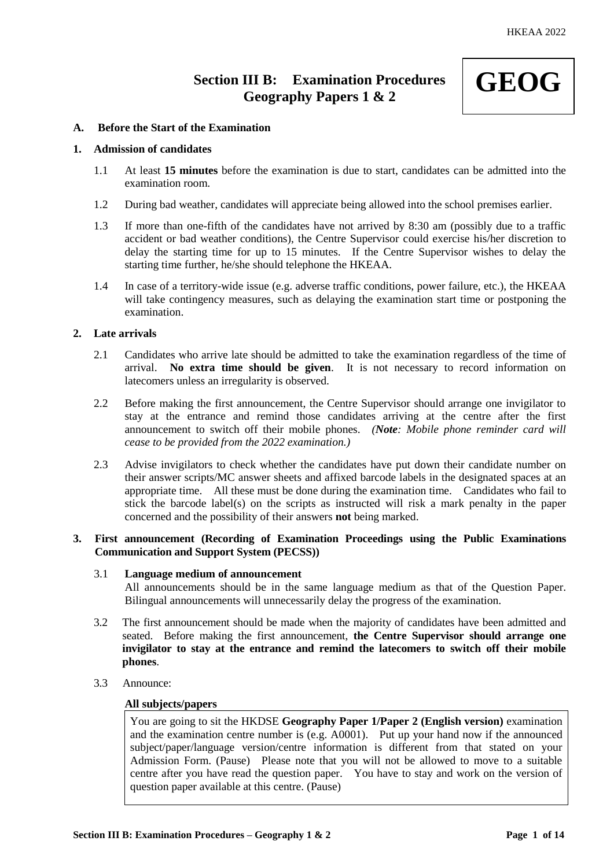# **Section III B: Examination Procedures Geography Papers 1 & 2**



# **A. Before the Start of the Examination**

# **1. Admission of candidates**

- 1.1 At least **15 minutes** before the examination is due to start, candidates can be admitted into the examination room.
- 1.2 During bad weather, candidates will appreciate being allowed into the school premises earlier.
- 1.3 If more than one-fifth of the candidates have not arrived by 8:30 am (possibly due to a traffic accident or bad weather conditions), the Centre Supervisor could exercise his/her discretion to delay the starting time for up to 15 minutes. If the Centre Supervisor wishes to delay the starting time further, he/she should telephone the HKEAA.
- 1.4 In case of a territory-wide issue (e.g. adverse traffic conditions, power failure, etc.), the HKEAA will take contingency measures, such as delaying the examination start time or postponing the examination.

# **2. Late arrivals**

- 2.1 Candidates who arrive late should be admitted to take the examination regardless of the time of arrival. **No extra time should be given**. It is not necessary to record information on latecomers unless an irregularity is observed.
- 2.2 Before making the first announcement, the Centre Supervisor should arrange one invigilator to stay at the entrance and remind those candidates arriving at the centre after the first announcement to switch off their mobile phones. *(Note: Mobile phone reminder card will cease to be provided from the 2022 examination.)*
- 2.3 Advise invigilators to check whether the candidates have put down their candidate number on their answer scripts/MC answer sheets and affixed barcode labels in the designated spaces at an appropriate time. All these must be done during the examination time. Candidates who fail to stick the barcode label(s) on the scripts as instructed will risk a mark penalty in the paper concerned and the possibility of their answers **not** being marked.

# **3. First announcement (Recording of Examination Proceedings using the Public Examinations Communication and Support System (PECSS))**

#### 3.1 **Language medium of announcement**

All announcements should be in the same language medium as that of the Question Paper. Bilingual announcements will unnecessarily delay the progress of the examination.

- 3.2 The first announcement should be made when the majority of candidates have been admitted and seated. Before making the first announcement, **the Centre Supervisor should arrange one invigilator to stay at the entrance and remind the latecomers to switch off their mobile phones**.
- 3.3 Announce:

### **All subjects/papers**

You are going to sit the HKDSE **Geography Paper 1/Paper 2 (English version)** examination and the examination centre number is (e.g. A0001). Put up your hand now if the announced subject/paper/language version/centre information is different from that stated on your Admission Form. (Pause) Please note that you will not be allowed to move to a suitable centre after you have read the question paper. You have to stay and work on the version of question paper available at this centre. (Pause)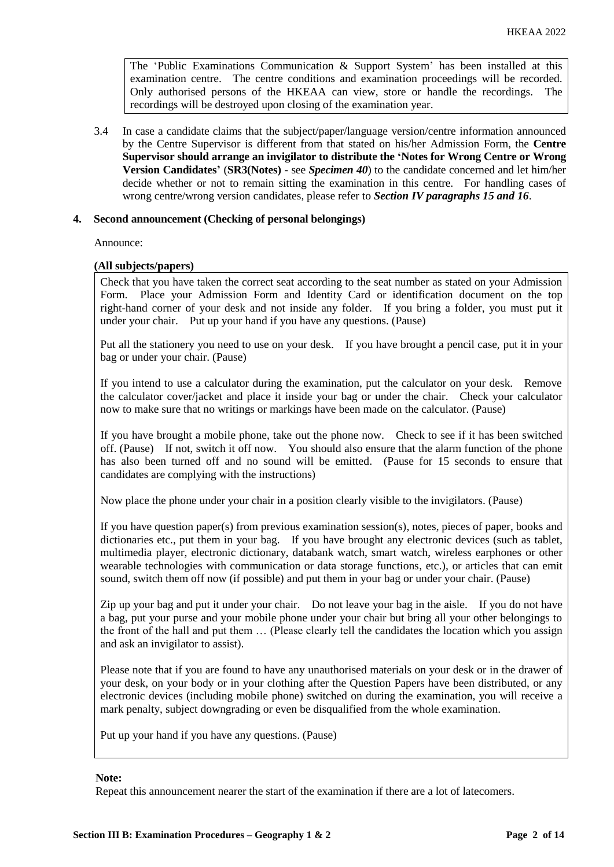The 'Public Examinations Communication  $\&$  Support System' has been installed at this examination centre. The centre conditions and examination proceedings will be recorded. Only authorised persons of the HKEAA can view, store or handle the recordings. The recordings will be destroyed upon closing of the examination year.

3.4 In case a candidate claims that the subject/paper/language version/centre information announced by the Centre Supervisor is different from that stated on his/her Admission Form, the **Centre Supervisor should arrange an invigilator to distribute the 'Notes for Wrong Centre or Wrong Version Candidates'** (**SR3(Notes) -** see *Specimen 40*) to the candidate concerned and let him/her decide whether or not to remain sitting the examination in this centre. For handling cases of wrong centre/wrong version candidates, please refer to *Section IV paragraphs 15 and 16*.

### **4. Second announcement (Checking of personal belongings)**

Announce:

### **(All subjects/papers)**

Check that you have taken the correct seat according to the seat number as stated on your Admission Form. Place your Admission Form and Identity Card or identification document on the top right-hand corner of your desk and not inside any folder. If you bring a folder, you must put it under your chair. Put up your hand if you have any questions. (Pause)

Put all the stationery you need to use on your desk. If you have brought a pencil case, put it in your bag or under your chair. (Pause)

If you intend to use a calculator during the examination, put the calculator on your desk. Remove the calculator cover/jacket and place it inside your bag or under the chair. Check your calculator now to make sure that no writings or markings have been made on the calculator. (Pause)

If you have brought a mobile phone, take out the phone now. Check to see if it has been switched off. (Pause) If not, switch it off now. You should also ensure that the alarm function of the phone has also been turned off and no sound will be emitted. (Pause for 15 seconds to ensure that candidates are complying with the instructions)

Now place the phone under your chair in a position clearly visible to the invigilators. (Pause)

If you have question paper(s) from previous examination session(s), notes, pieces of paper, books and dictionaries etc., put them in your bag. If you have brought any electronic devices (such as tablet, multimedia player, electronic dictionary, databank watch, smart watch, wireless earphones or other wearable technologies with communication or data storage functions, etc.), or articles that can emit sound, switch them off now (if possible) and put them in your bag or under your chair. (Pause)

Zip up your bag and put it under your chair. Do not leave your bag in the aisle. If you do not have a bag, put your purse and your mobile phone under your chair but bring all your other belongings to the front of the hall and put them … (Please clearly tell the candidates the location which you assign and ask an invigilator to assist).

Please note that if you are found to have any unauthorised materials on your desk or in the drawer of your desk, on your body or in your clothing after the Question Papers have been distributed, or any electronic devices (including mobile phone) switched on during the examination, you will receive a mark penalty, subject downgrading or even be disqualified from the whole examination.

Put up your hand if you have any questions. (Pause)

#### **Note:**

Repeat this announcement nearer the start of the examination if there are a lot of latecomers.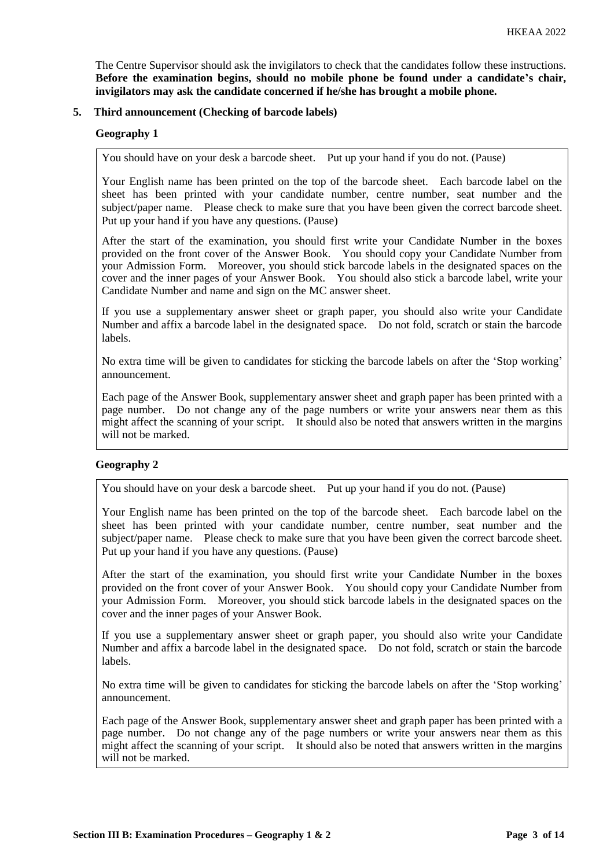The Centre Supervisor should ask the invigilators to check that the candidates follow these instructions. **Before the examination begins, should no mobile phone be found under a candidate's chair, invigilators may ask the candidate concerned if he/she has brought a mobile phone.**

### **5. Third announcement (Checking of barcode labels)**

### **Geography 1**

You should have on your desk a barcode sheet. Put up your hand if you do not. (Pause)

Your English name has been printed on the top of the barcode sheet. Each barcode label on the sheet has been printed with your candidate number, centre number, seat number and the subject/paper name. Please check to make sure that you have been given the correct barcode sheet. Put up your hand if you have any questions. (Pause)

After the start of the examination, you should first write your Candidate Number in the boxes provided on the front cover of the Answer Book. You should copy your Candidate Number from your Admission Form. Moreover, you should stick barcode labels in the designated spaces on the cover and the inner pages of your Answer Book. You should also stick a barcode label, write your Candidate Number and name and sign on the MC answer sheet.

If you use a supplementary answer sheet or graph paper, you should also write your Candidate Number and affix a barcode label in the designated space. Do not fold, scratch or stain the barcode labels.

No extra time will be given to candidates for sticking the barcode labels on after the 'Stop working' announcement.

Each page of the Answer Book, supplementary answer sheet and graph paper has been printed with a page number. Do not change any of the page numbers or write your answers near them as this might affect the scanning of your script. It should also be noted that answers written in the margins will not be marked.

# **Geography 2**

You should have on your desk a barcode sheet. Put up your hand if you do not. (Pause)

Your English name has been printed on the top of the barcode sheet. Each barcode label on the sheet has been printed with your candidate number, centre number, seat number and the subject/paper name. Please check to make sure that you have been given the correct barcode sheet. Put up your hand if you have any questions. (Pause)

After the start of the examination, you should first write your Candidate Number in the boxes provided on the front cover of your Answer Book. You should copy your Candidate Number from your Admission Form. Moreover, you should stick barcode labels in the designated spaces on the cover and the inner pages of your Answer Book.

If you use a supplementary answer sheet or graph paper, you should also write your Candidate Number and affix a barcode label in the designated space. Do not fold, scratch or stain the barcode labels.

No extra time will be given to candidates for sticking the barcode labels on after the 'Stop working' announcement.

Each page of the Answer Book, supplementary answer sheet and graph paper has been printed with a page number. Do not change any of the page numbers or write your answers near them as this might affect the scanning of your script. It should also be noted that answers written in the margins will not be marked.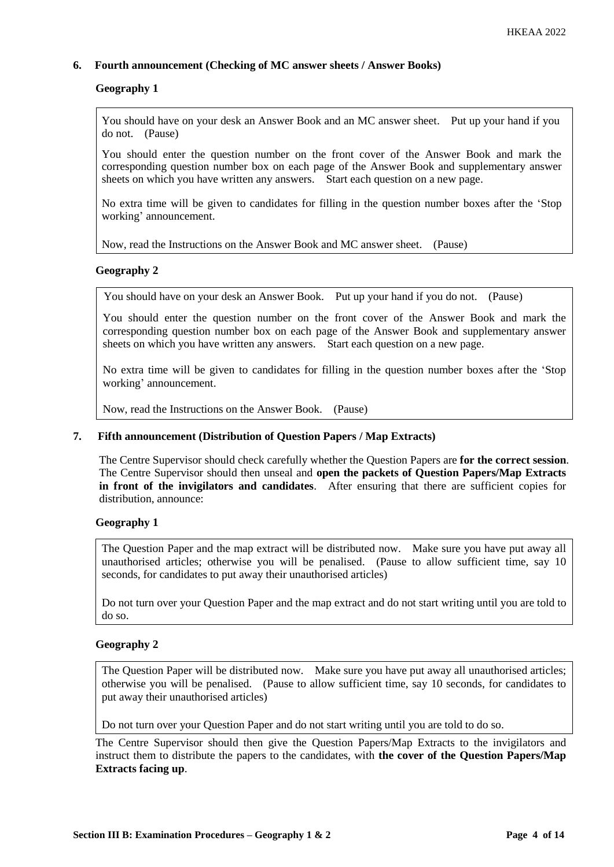# **6. Fourth announcement (Checking of MC answer sheets / Answer Books)**

### **Geography 1**

You should have on your desk an Answer Book and an MC answer sheet. Put up your hand if you do not. (Pause)

You should enter the question number on the front cover of the Answer Book and mark the corresponding question number box on each page of the Answer Book and supplementary answer sheets on which you have written any answers. Start each question on a new page.

No extra time will be given to candidates for filling in the question number boxes after the 'Stop working' announcement.

Now, read the Instructions on the Answer Book and MC answer sheet. (Pause)

### **Geography 2**

You should have on your desk an Answer Book. Put up your hand if you do not. (Pause)

You should enter the question number on the front cover of the Answer Book and mark the corresponding question number box on each page of the Answer Book and supplementary answer sheets on which you have written any answers. Start each question on a new page.

No extra time will be given to candidates for filling in the question number boxes after the 'Stop working' announcement.

Now, read the Instructions on the Answer Book. (Pause)

#### **7. Fifth announcement (Distribution of Question Papers / Map Extracts)**

The Centre Supervisor should check carefully whether the Question Papers are **for the correct session**. The Centre Supervisor should then unseal and **open the packets of Question Papers/Map Extracts in front of the invigilators and candidates**. After ensuring that there are sufficient copies for distribution, announce:

#### **Geography 1**

The Question Paper and the map extract will be distributed now. Make sure you have put away all unauthorised articles; otherwise you will be penalised. (Pause to allow sufficient time, say 10 seconds, for candidates to put away their unauthorised articles)

Do not turn over your Question Paper and the map extract and do not start writing until you are told to do so.

#### **Geography 2**

The Question Paper will be distributed now. Make sure you have put away all unauthorised articles; otherwise you will be penalised. (Pause to allow sufficient time, say 10 seconds, for candidates to put away their unauthorised articles)

Do not turn over your Question Paper and do not start writing until you are told to do so.

The Centre Supervisor should then give the Question Papers/Map Extracts to the invigilators and instruct them to distribute the papers to the candidates, with **the cover of the Question Papers/Map Extracts facing up**.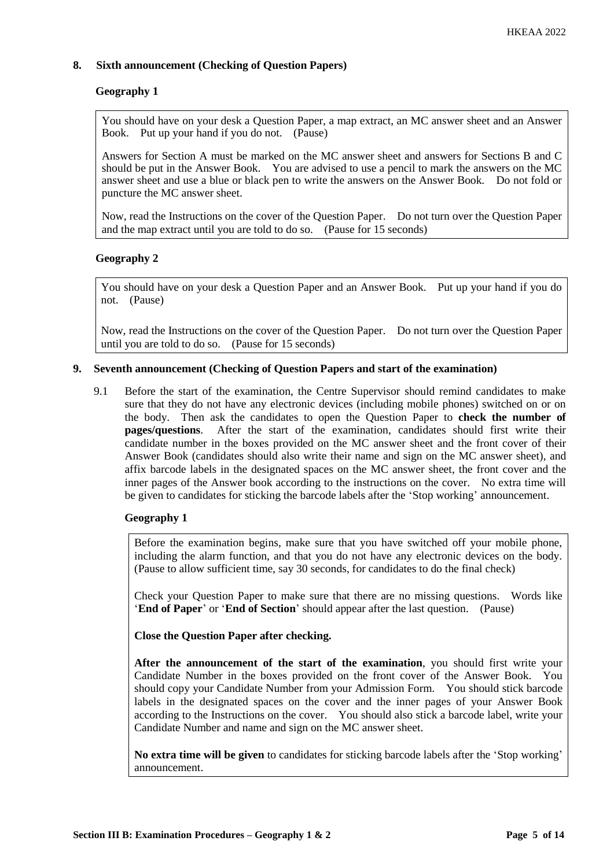# **8. Sixth announcement (Checking of Question Papers)**

# **Geography 1**

You should have on your desk a Question Paper, a map extract, an MC answer sheet and an Answer Book. Put up your hand if you do not. (Pause)

Answers for Section A must be marked on the MC answer sheet and answers for Sections B and C should be put in the Answer Book. You are advised to use a pencil to mark the answers on the MC answer sheet and use a blue or black pen to write the answers on the Answer Book. Do not fold or puncture the MC answer sheet.

Now, read the Instructions on the cover of the Question Paper. Do not turn over the Question Paper and the map extract until you are told to do so. (Pause for 15 seconds)

# **Geography 2**

You should have on your desk a Question Paper and an Answer Book. Put up your hand if you do not. (Pause)

Now, read the Instructions on the cover of the Question Paper. Do not turn over the Question Paper until you are told to do so. (Pause for 15 seconds)

# **9. Seventh announcement (Checking of Question Papers and start of the examination)**

9.1 Before the start of the examination, the Centre Supervisor should remind candidates to make sure that they do not have any electronic devices (including mobile phones) switched on or on the body. Then ask the candidates to open the Question Paper to **check the number of pages/questions**. After the start of the examination, candidates should first write their candidate number in the boxes provided on the MC answer sheet and the front cover of their Answer Book (candidates should also write their name and sign on the MC answer sheet), and affix barcode labels in the designated spaces on the MC answer sheet, the front cover and the inner pages of the Answer book according to the instructions on the cover. No extra time will be given to candidates for sticking the barcode labels after the 'Stop working' announcement.

# **Geography 1**

Before the examination begins, make sure that you have switched off your mobile phone, including the alarm function, and that you do not have any electronic devices on the body. (Pause to allow sufficient time, say 30 seconds, for candidates to do the final check)

Check your Question Paper to make sure that there are no missing questions. Words like '**End of Paper**' or '**End of Section**' should appear after the last question. (Pause)

**Close the Question Paper after checking.**

**After the announcement of the start of the examination**, you should first write your Candidate Number in the boxes provided on the front cover of the Answer Book. You should copy your Candidate Number from your Admission Form. You should stick barcode labels in the designated spaces on the cover and the inner pages of your Answer Book according to the Instructions on the cover. You should also stick a barcode label, write your Candidate Number and name and sign on the MC answer sheet.

**No extra time will be given** to candidates for sticking barcode labels after the 'Stop working' announcement.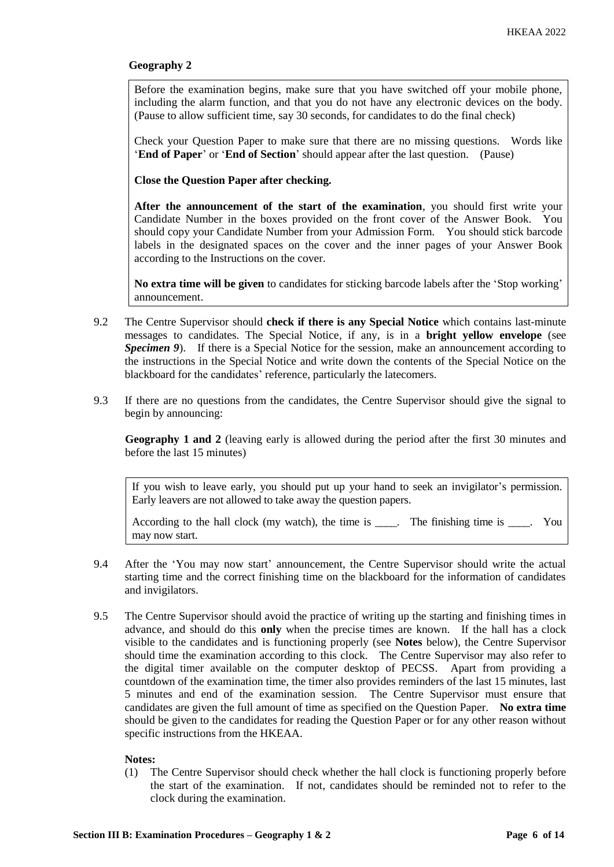### **Geography 2**

Before the examination begins, make sure that you have switched off your mobile phone, including the alarm function, and that you do not have any electronic devices on the body. (Pause to allow sufficient time, say 30 seconds, for candidates to do the final check)

Check your Question Paper to make sure that there are no missing questions. Words like '**End of Paper**' or '**End of Section**' should appear after the last question. (Pause)

**Close the Question Paper after checking.**

**After the announcement of the start of the examination**, you should first write your Candidate Number in the boxes provided on the front cover of the Answer Book. You should copy your Candidate Number from your Admission Form. You should stick barcode labels in the designated spaces on the cover and the inner pages of your Answer Book according to the Instructions on the cover.

**No extra time will be given** to candidates for sticking barcode labels after the 'Stop working' announcement.

- 9.2 The Centre Supervisor should **check if there is any Special Notice** which contains last-minute messages to candidates. The Special Notice, if any, is in a **bright yellow envelope** (see *Specimen 9*). If there is a Special Notice for the session, make an announcement according to the instructions in the Special Notice and write down the contents of the Special Notice on the blackboard for the candidates' reference, particularly the latecomers.
- 9.3 If there are no questions from the candidates, the Centre Supervisor should give the signal to begin by announcing:

**Geography 1 and 2** (leaving early is allowed during the period after the first 30 minutes and before the last 15 minutes)

If you wish to leave early, you should put up your hand to seek an invigilator's permission. Early leavers are not allowed to take away the question papers.

According to the hall clock (my watch), the time is \_\_\_\_. The finishing time is \_\_\_\_. You may now start.

- 9.4 After the 'You may now start' announcement, the Centre Supervisor should write the actual starting time and the correct finishing time on the blackboard for the information of candidates and invigilators.
- 9.5 The Centre Supervisor should avoid the practice of writing up the starting and finishing times in advance, and should do this **only** when the precise times are known. If the hall has a clock visible to the candidates and is functioning properly (see **Notes** below), the Centre Supervisor should time the examination according to this clock. The Centre Supervisor may also refer to the digital timer available on the computer desktop of PECSS. Apart from providing a countdown of the examination time, the timer also provides reminders of the last 15 minutes, last 5 minutes and end of the examination session. The Centre Supervisor must ensure that candidates are given the full amount of time as specified on the Question Paper. **No extra time** should be given to the candidates for reading the Question Paper or for any other reason without specific instructions from the HKEAA.

#### **Notes:**

(1) The Centre Supervisor should check whether the hall clock is functioning properly before the start of the examination. If not, candidates should be reminded not to refer to the clock during the examination.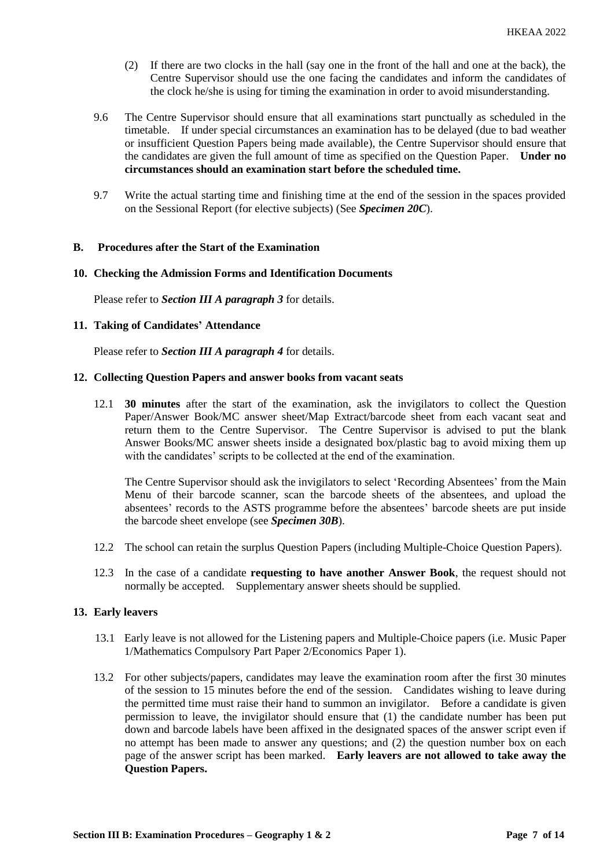- (2) If there are two clocks in the hall (say one in the front of the hall and one at the back), the Centre Supervisor should use the one facing the candidates and inform the candidates of the clock he/she is using for timing the examination in order to avoid misunderstanding.
- 9.6 The Centre Supervisor should ensure that all examinations start punctually as scheduled in the timetable. If under special circumstances an examination has to be delayed (due to bad weather or insufficient Question Papers being made available), the Centre Supervisor should ensure that the candidates are given the full amount of time as specified on the Question Paper. **Under no circumstances should an examination start before the scheduled time.**
- 9.7 Write the actual starting time and finishing time at the end of the session in the spaces provided on the Sessional Report (for elective subjects) (See *Specimen 20C*).

#### **B. Procedures after the Start of the Examination**

#### **10. Checking the Admission Forms and Identification Documents**

Please refer to *Section III A paragraph 3* for details.

#### **11. Taking of Candidates' Attendance**

Please refer to *Section III A paragraph 4* for details.

#### **12. Collecting Question Papers and answer books from vacant seats**

12.1 **30 minutes** after the start of the examination, ask the invigilators to collect the Question Paper/Answer Book/MC answer sheet/Map Extract/barcode sheet from each vacant seat and return them to the Centre Supervisor. The Centre Supervisor is advised to put the blank Answer Books/MC answer sheets inside a designated box/plastic bag to avoid mixing them up with the candidates' scripts to be collected at the end of the examination.

The Centre Supervisor should ask the invigilators to select 'Recording Absentees' from the Main Menu of their barcode scanner, scan the barcode sheets of the absentees, and upload the absentees' records to the ASTS programme before the absentees' barcode sheets are put inside the barcode sheet envelope (see *Specimen 30B*).

- 12.2 The school can retain the surplus Question Papers (including Multiple-Choice Question Papers).
- 12.3 In the case of a candidate **requesting to have another Answer Book**, the request should not normally be accepted. Supplementary answer sheets should be supplied.

### **13. Early leavers**

- 13.1 Early leave is not allowed for the Listening papers and Multiple-Choice papers (i.e. Music Paper 1/Mathematics Compulsory Part Paper 2/Economics Paper 1).
- 13.2 For other subjects/papers, candidates may leave the examination room after the first 30 minutes of the session to 15 minutes before the end of the session. Candidates wishing to leave during the permitted time must raise their hand to summon an invigilator. Before a candidate is given permission to leave, the invigilator should ensure that (1) the candidate number has been put down and barcode labels have been affixed in the designated spaces of the answer script even if no attempt has been made to answer any questions; and (2) the question number box on each page of the answer script has been marked. **Early leavers are not allowed to take away the Question Papers.**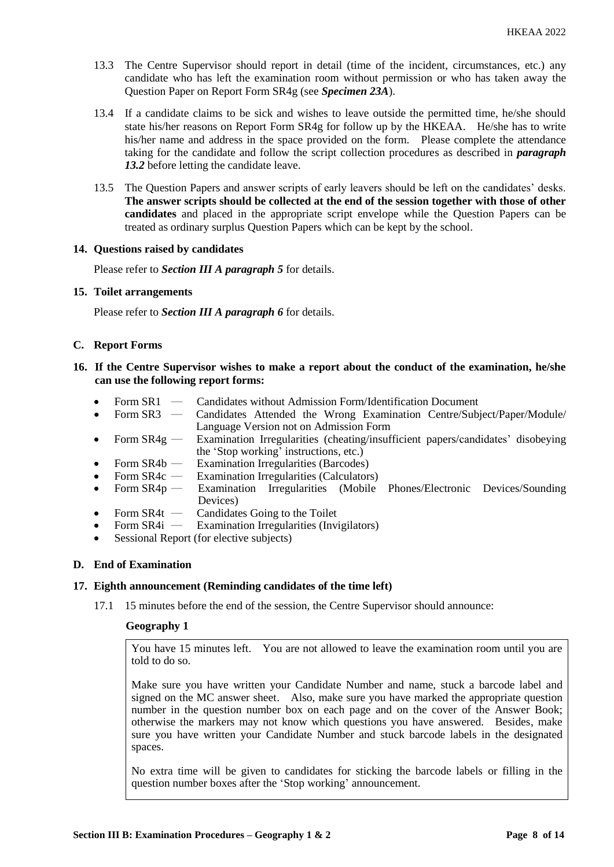- 13.3 The Centre Supervisor should report in detail (time of the incident, circumstances, etc.) any candidate who has left the examination room without permission or who has taken away the Question Paper on Report Form SR4g (see *Specimen 23A*).
- 13.4 If a candidate claims to be sick and wishes to leave outside the permitted time, he/she should state his/her reasons on Report Form SR4g for follow up by the HKEAA. He/she has to write his/her name and address in the space provided on the form. Please complete the attendance taking for the candidate and follow the script collection procedures as described in *paragraph*  13.2 before letting the candidate leave.
- 13.5 The Question Papers and answer scripts of early leavers should be left on the candidates' desks. **The answer scripts should be collected at the end of the session together with those of other candidates** and placed in the appropriate script envelope while the Question Papers can be treated as ordinary surplus Question Papers which can be kept by the school.

#### **14. Questions raised by candidates**

Please refer to *Section III A paragraph 5* for details.

#### **15. Toilet arrangements**

Please refer to *Section III A paragraph 6* for details.

### **C. Report Forms**

- **16. If the Centre Supervisor wishes to make a report about the conduct of the examination, he/she can use the following report forms:**
	- Form SR1 Candidates without Admission Form/Identification Document<br>Form SR3 Candidates Attended the Wrong Examination Centre/Subi
	- Candidates Attended the Wrong Examination Centre/Subject/Paper/Module/ Language Version not on Admission Form
	- Form SR4g Examination Irregularities (cheating/insufficient papers/candidates' disobeying the 'Stop working' instructions, etc.)
	-
	- Form SR4b Examination Irregularities (Barcodes)<br>• Form SR4c Examination Irregularities (Calculators Examination Irregularities (Calculators)
	- Form SR4p Examination Irregularities (Mobile Phones/Electronic Devices/Sounding Devices)
	- Form  $SR4t$  Candidates Going to the Toilet<br>• Form  $SR4i$  Examination Irregularities (Invi
	- Examination Irregularities (Invigilators)
	- Sessional Report (for elective subjects)

# **D. End of Examination**

#### **17. Eighth announcement (Reminding candidates of the time left)**

17.1 15 minutes before the end of the session, the Centre Supervisor should announce:

### **Geography 1**

You have 15 minutes left. You are not allowed to leave the examination room until you are told to do so.

Make sure you have written your Candidate Number and name, stuck a barcode label and signed on the MC answer sheet. Also, make sure you have marked the appropriate question number in the question number box on each page and on the cover of the Answer Book; otherwise the markers may not know which questions you have answered. Besides, make sure you have written your Candidate Number and stuck barcode labels in the designated spaces.

No extra time will be given to candidates for sticking the barcode labels or filling in the question number boxes after the 'Stop working' announcement.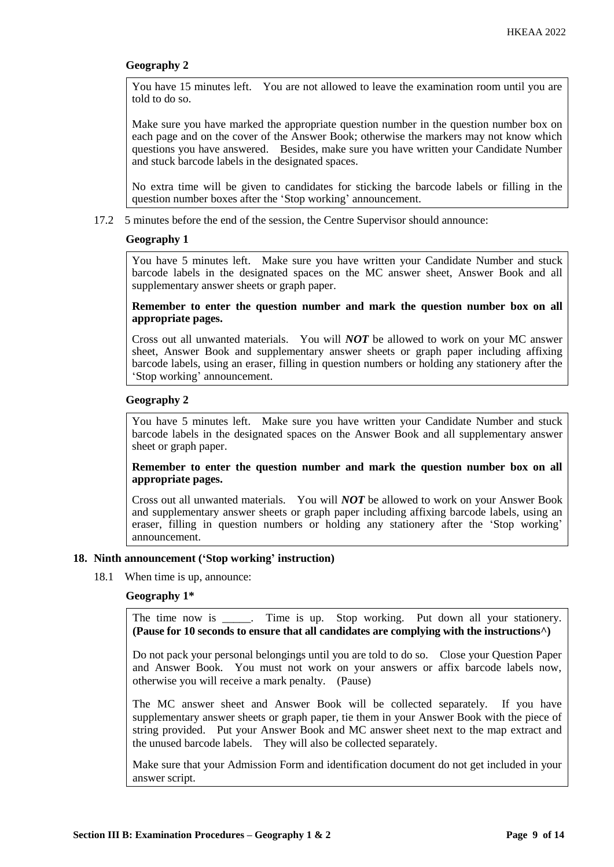# **Geography 2**

You have 15 minutes left. You are not allowed to leave the examination room until you are told to do so.

Make sure you have marked the appropriate question number in the question number box on each page and on the cover of the Answer Book; otherwise the markers may not know which questions you have answered. Besides, make sure you have written your Candidate Number and stuck barcode labels in the designated spaces.

No extra time will be given to candidates for sticking the barcode labels or filling in the question number boxes after the 'Stop working' announcement.

17.2 5 minutes before the end of the session, the Centre Supervisor should announce:

### **Geography 1**

You have 5 minutes left. Make sure you have written your Candidate Number and stuck barcode labels in the designated spaces on the MC answer sheet, Answer Book and all supplementary answer sheets or graph paper.

**Remember to enter the question number and mark the question number box on all appropriate pages.** 

Cross out all unwanted materials. You will *NOT* be allowed to work on your MC answer sheet, Answer Book and supplementary answer sheets or graph paper including affixing barcode labels, using an eraser, filling in question numbers or holding any stationery after the 'Stop working' announcement.

# **Geography 2**

You have 5 minutes left. Make sure you have written your Candidate Number and stuck barcode labels in the designated spaces on the Answer Book and all supplementary answer sheet or graph paper.

# **Remember to enter the question number and mark the question number box on all appropriate pages.**

Cross out all unwanted materials. You will *NOT* be allowed to work on your Answer Book and supplementary answer sheets or graph paper including affixing barcode labels, using an eraser, filling in question numbers or holding any stationery after the 'Stop working' announcement.

# **18. Ninth announcement ('Stop working' instruction)**

18.1 When time is up, announce:

# **Geography 1\***

The time now is Time is up. Stop working. Put down all your stationery. **(Pause for 10 seconds to ensure that all candidates are complying with the instructions^)**

Do not pack your personal belongings until you are told to do so. Close your Question Paper and Answer Book. You must not work on your answers or affix barcode labels now, otherwise you will receive a mark penalty. (Pause)

The MC answer sheet and Answer Book will be collected separately. If you have supplementary answer sheets or graph paper, tie them in your Answer Book with the piece of string provided. Put your Answer Book and MC answer sheet next to the map extract and the unused barcode labels. They will also be collected separately.

Make sure that your Admission Form and identification document do not get included in your answer script.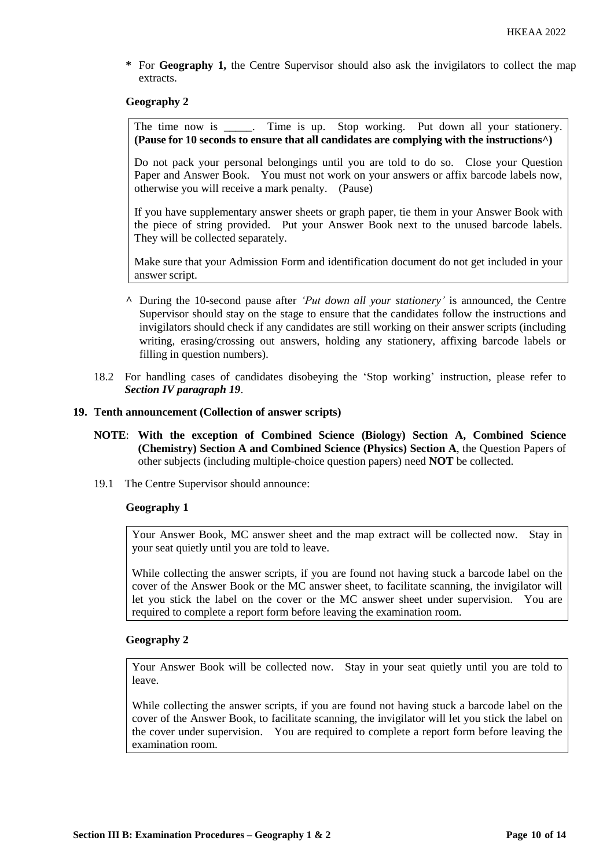**\*** For **Geography 1,** the Centre Supervisor should also ask the invigilators to collect the map extracts.

### **Geography 2**

The time now is \_\_\_\_\_. Time is up. Stop working. Put down all your stationery. **(Pause for 10 seconds to ensure that all candidates are complying with the instructions^)**

Do not pack your personal belongings until you are told to do so. Close your Question Paper and Answer Book. You must not work on your answers or affix barcode labels now, otherwise you will receive a mark penalty. (Pause)

If you have supplementary answer sheets or graph paper, tie them in your Answer Book with the piece of string provided. Put your Answer Book next to the unused barcode labels. They will be collected separately.

Make sure that your Admission Form and identification document do not get included in your answer script.

- **^** During the 10-second pause after *'Put down all your stationery'* is announced, the Centre Supervisor should stay on the stage to ensure that the candidates follow the instructions and invigilators should check if any candidates are still working on their answer scripts (including writing, erasing/crossing out answers, holding any stationery, affixing barcode labels or filling in question numbers).
- 18.2 For handling cases of candidates disobeying the 'Stop working' instruction, please refer to *Section IV paragraph 19*.

### **19. Tenth announcement (Collection of answer scripts)**

- **NOTE**: **With the exception of Combined Science (Biology) Section A, Combined Science (Chemistry) Section A and Combined Science (Physics) Section A**, the Question Papers of other subjects (including multiple-choice question papers) need **NOT** be collected.
- 19.1 The Centre Supervisor should announce:

# **Geography 1**

Your Answer Book, MC answer sheet and the map extract will be collected now. Stay in your seat quietly until you are told to leave.

While collecting the answer scripts, if you are found not having stuck a barcode label on the cover of the Answer Book or the MC answer sheet, to facilitate scanning, the invigilator will let you stick the label on the cover or the MC answer sheet under supervision. You are required to complete a report form before leaving the examination room.

# **Geography 2**

Your Answer Book will be collected now. Stay in your seat quietly until you are told to leave.

While collecting the answer scripts, if you are found not having stuck a barcode label on the cover of the Answer Book, to facilitate scanning, the invigilator will let you stick the label on the cover under supervision. You are required to complete a report form before leaving the examination room.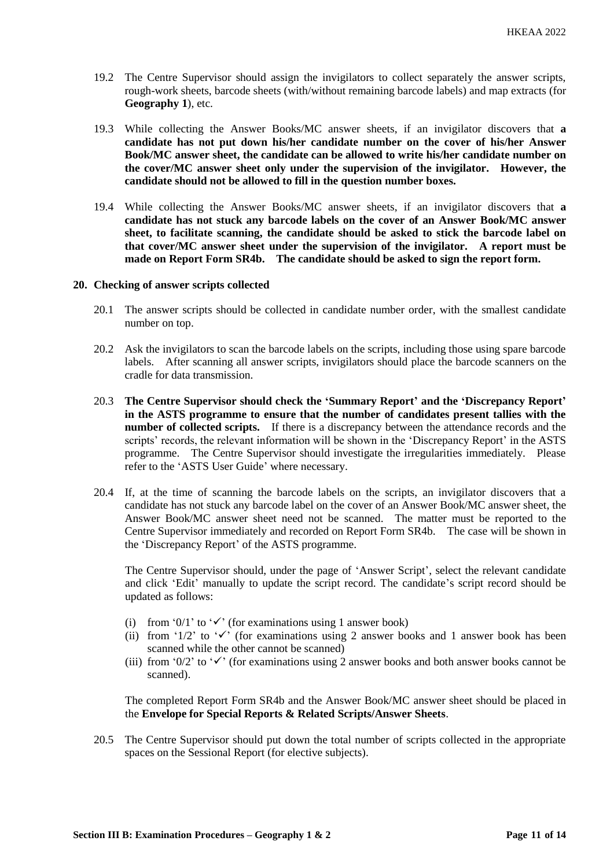- 19.2 The Centre Supervisor should assign the invigilators to collect separately the answer scripts, rough-work sheets, barcode sheets (with/without remaining barcode labels) and map extracts (for **Geography 1**), etc.
- 19.3 While collecting the Answer Books/MC answer sheets, if an invigilator discovers that **a candidate has not put down his/her candidate number on the cover of his/her Answer Book/MC answer sheet, the candidate can be allowed to write his/her candidate number on the cover/MC answer sheet only under the supervision of the invigilator. However, the candidate should not be allowed to fill in the question number boxes.**
- 19.4 While collecting the Answer Books/MC answer sheets, if an invigilator discovers that **a candidate has not stuck any barcode labels on the cover of an Answer Book/MC answer sheet, to facilitate scanning, the candidate should be asked to stick the barcode label on that cover/MC answer sheet under the supervision of the invigilator. A report must be made on Report Form SR4b. The candidate should be asked to sign the report form.**

### **20. Checking of answer scripts collected**

- 20.1 The answer scripts should be collected in candidate number order, with the smallest candidate number on top.
- 20.2 Ask the invigilators to scan the barcode labels on the scripts, including those using spare barcode labels. After scanning all answer scripts, invigilators should place the barcode scanners on the cradle for data transmission.
- 20.3 **The Centre Supervisor should check the 'Summary Report' and the 'Discrepancy Report' in the ASTS programme to ensure that the number of candidates present tallies with the number of collected scripts.** If there is a discrepancy between the attendance records and the scripts' records, the relevant information will be shown in the 'Discrepancy Report' in the ASTS programme. The Centre Supervisor should investigate the irregularities immediately. Please refer to the 'ASTS User Guide' where necessary.
- 20.4 If, at the time of scanning the barcode labels on the scripts, an invigilator discovers that a candidate has not stuck any barcode label on the cover of an Answer Book/MC answer sheet, the Answer Book/MC answer sheet need not be scanned. The matter must be reported to the Centre Supervisor immediately and recorded on Report Form SR4b. The case will be shown in the 'Discrepancy Report' of the ASTS programme.

The Centre Supervisor should, under the page of 'Answer Script', select the relevant candidate and click 'Edit' manually to update the script record. The candidate's script record should be updated as follows:

- (i) from '0/1' to ' $\checkmark$ ' (for examinations using 1 answer book)
- (ii) from '1/2' to ' $\checkmark$ ' (for examinations using 2 answer books and 1 answer book has been scanned while the other cannot be scanned)
- (iii) from '0/2' to ' $\checkmark$ ' (for examinations using 2 answer books and both answer books cannot be scanned).

The completed Report Form SR4b and the Answer Book/MC answer sheet should be placed in the **Envelope for Special Reports & Related Scripts/Answer Sheets**.

20.5 The Centre Supervisor should put down the total number of scripts collected in the appropriate spaces on the Sessional Report (for elective subjects).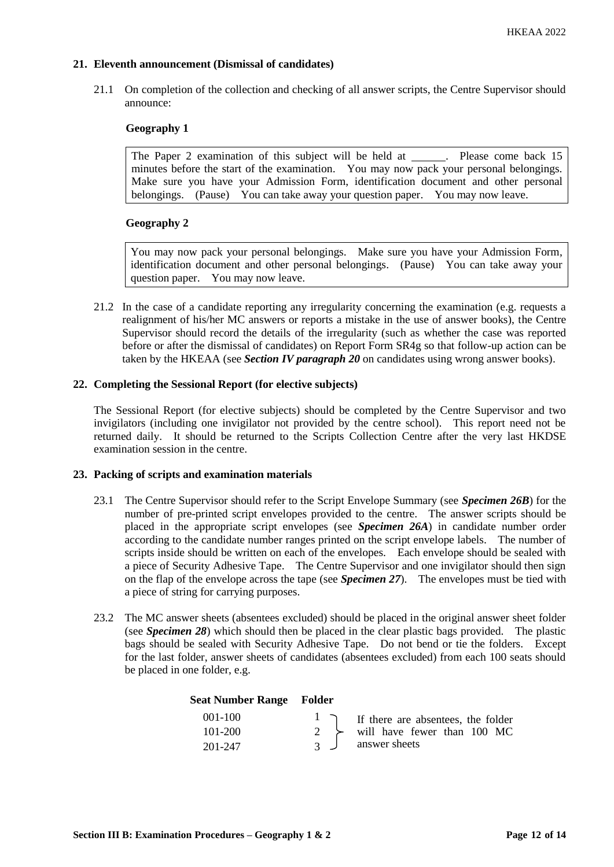# **21. Eleventh announcement (Dismissal of candidates)**

21.1 On completion of the collection and checking of all answer scripts, the Centre Supervisor should announce:

# **Geography 1**

The Paper 2 examination of this subject will be held at \_\_\_\_\_\_. Please come back 15 minutes before the start of the examination. You may now pack your personal belongings. Make sure you have your Admission Form, identification document and other personal belongings. (Pause) You can take away your question paper. You may now leave.

# **Geography 2**

You may now pack your personal belongings. Make sure you have your Admission Form, identification document and other personal belongings. (Pause) You can take away your question paper. You may now leave.

21.2 In the case of a candidate reporting any irregularity concerning the examination (e.g. requests a realignment of his/her MC answers or reports a mistake in the use of answer books), the Centre Supervisor should record the details of the irregularity (such as whether the case was reported before or after the dismissal of candidates) on Report Form SR4g so that follow-up action can be taken by the HKEAA (see *Section IV paragraph 20* on candidates using wrong answer books).

### **22. Completing the Sessional Report (for elective subjects)**

The Sessional Report (for elective subjects) should be completed by the Centre Supervisor and two invigilators (including one invigilator not provided by the centre school). This report need not be returned daily. It should be returned to the Scripts Collection Centre after the very last HKDSE examination session in the centre.

#### **23. Packing of scripts and examination materials**

- 23.1 The Centre Supervisor should refer to the Script Envelope Summary (see *Specimen 26B*) for the number of pre-printed script envelopes provided to the centre. The answer scripts should be placed in the appropriate script envelopes (see *Specimen 26A*) in candidate number order according to the candidate number ranges printed on the script envelope labels. The number of scripts inside should be written on each of the envelopes. Each envelope should be sealed with a piece of Security Adhesive Tape. The Centre Supervisor and one invigilator should then sign on the flap of the envelope across the tape (see *Specimen 27*). The envelopes must be tied with a piece of string for carrying purposes.
- 23.2 The MC answer sheets (absentees excluded) should be placed in the original answer sheet folder (see *Specimen 28*) which should then be placed in the clear plastic bags provided. The plastic bags should be sealed with Security Adhesive Tape. Do not bend or tie the folders. Except for the last folder, answer sheets of candidates (absentees excluded) from each 100 seats should be placed in one folder, e.g.

#### **Seat Number Range Folder**

| $001-100$   |                | I I f there are absentees, the folder       |
|-------------|----------------|---------------------------------------------|
| $101 - 200$ |                | $2 \rightarrow$ will have fewer than 100 MC |
| 201-247     | $\overline{3}$ | answer sheets                               |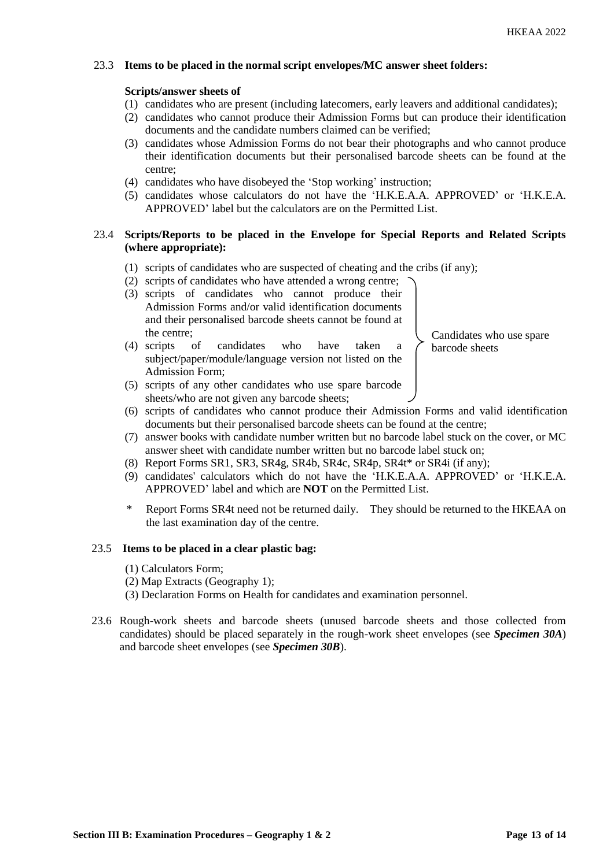# 23.3 **Items to be placed in the normal script envelopes/MC answer sheet folders:**

### **Scripts/answer sheets of**

- (1) candidates who are present (including latecomers, early leavers and additional candidates);
- (2) candidates who cannot produce their Admission Forms but can produce their identification documents and the candidate numbers claimed can be verified;
- (3) candidates whose Admission Forms do not bear their photographs and who cannot produce their identification documents but their personalised barcode sheets can be found at the centre;
- (4) candidates who have disobeyed the 'Stop working' instruction;
- (5) candidates whose calculators do not have the 'H.K.E.A.A. APPROVED' or 'H.K.E.A. APPROVED' label but the calculators are on the Permitted List.

### 23.4 **Scripts/Reports to be placed in the Envelope for Special Reports and Related Scripts (where appropriate):**

- (1) scripts of candidates who are suspected of cheating and the cribs (if any);
- (2) scripts of candidates who have attended a wrong centre;
- (3) scripts of candidates who cannot produce their Admission Forms and/or valid identification documents and their personalised barcode sheets cannot be found at the centre;

(4) scripts of candidates who have taken a subject/paper/module/language version not listed on the

- Candidates who use spare barcode sheets
- (5) scripts of any other candidates who use spare barcode sheets/who are not given any barcode sheets;
- (6) scripts of candidates who cannot produce their Admission Forms and valid identification documents but their personalised barcode sheets can be found at the centre;
- (7) answer books with candidate number written but no barcode label stuck on the cover, or MC answer sheet with candidate number written but no barcode label stuck on;
- (8) Report Forms SR1, SR3, SR4g, SR4b, SR4c, SR4p, SR4t\* or SR4i (if any);
- (9) candidates' calculators which do not have the 'H.K.E.A.A. APPROVED' or 'H.K.E.A. APPROVED' label and which are **NOT** on the Permitted List.
- Report Forms SR4t need not be returned daily. They should be returned to the HKEAA on the last examination day of the centre.

#### 23.5 **Items to be placed in a clear plastic bag:**

(1) Calculators Form;

Admission Form;

- (2) Map Extracts (Geography 1);
- (3) Declaration Forms on Health for candidates and examination personnel.
- 23.6 Rough-work sheets and barcode sheets (unused barcode sheets and those collected from candidates) should be placed separately in the rough-work sheet envelopes (see *Specimen 30A*) and barcode sheet envelopes (see *Specimen 30B*).